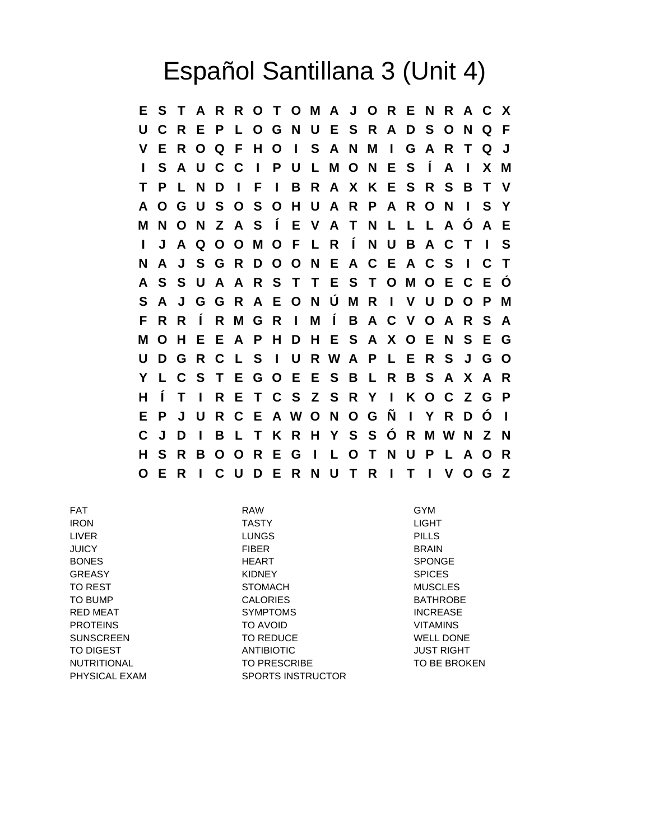## Español Santillana 3 (Unit 4)

**E S T A R R O T O M A J O R E N R A C X U C R E P L O G N U E S R A D S O N Q F V E R O Q F H O I S A N M I G A R T Q J I S A U C C I P U L M O N E S Í A I X M T P L N D I F I B R A X K E S R S B T V A O G U S O S O H U A R P A R O N I S Y M N O N Z A S Í E V A T N L L L A Ó A E I J A Q O O M O F L R Í N U B A C T I S N A J S G R D O O N E A C E A C S I C T A S S U A A R S T T E S T O M O E C E Ó S A J G G R A E O N Ú M R I V U D O P M F R R Í R M G R I M Í B A C V O A R S A M O H E E A P H D H E S A X O E N S E G U D G R C L S I U R W A P L E R S J G O Y L C S T E G O E E S B L R B S A X A R H Í T I R E T C S Z S R Y I K O C Z G P E P J U R C E A W O N O G Ñ I Y R D Ó I C J D I B L T K R H Y S S Ó R M W N Z N H S R B O O R E G I L O T N U P L A O R O E R I C U D E R N U T R I T I V O G Z**

TO REST STOMACH MUSCLES TO BUMP CALORIES BATHROBE RED MEAT THE SYMPTOMS INCREASE INCREASE PROTEINS TO AVOID TO AVOID SUNSCREEN TO REDUCE WELL DONE TO DIGEST TO ANTIBIOTIC TO DIGEST AND ANTIBIOTIC AND LOST RIGHT NUTRITIONAL TO PRESCRIBE TO BE BROKEN PHYSICAL EXAM SPORTS INSTRUCTOR

FAT RAW GYM IRON TASTY LIGHT LIVER LUNGS PILLS JUICY FIBER BRAIN BONES HEART SPONGE GREASY KIDNEY SPICES